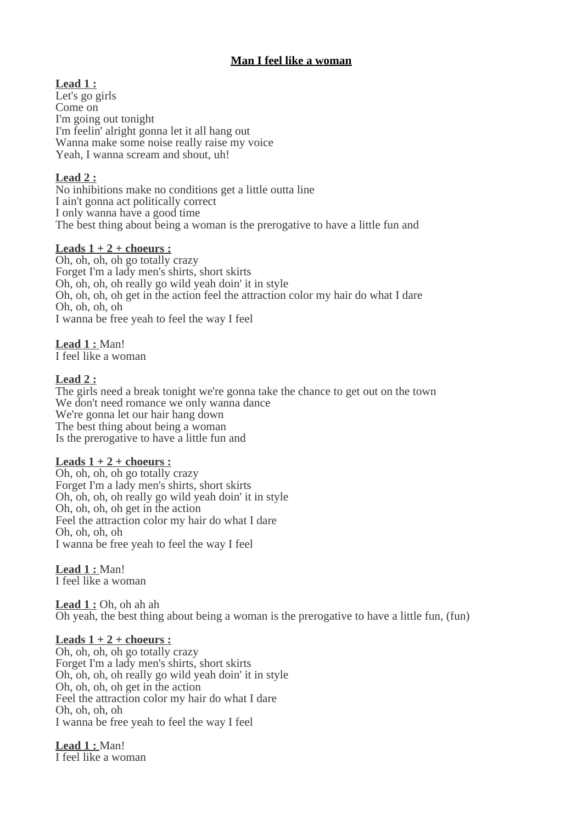# **Man I feel like a woman**

 **Lead 1 :** Let's go girls Come on I'm going out tonight I'm feelin' alright gonna let it all hang out Wanna make some noise really raise my voice Yeah, I wanna scream and shout, uh!

# **Lead 2 :**

No inhibitions make no conditions get a little outta line I ain't gonna act politically correct I only wanna have a good time The best thing about being a woman is the prerogative to have a little fun and

#### **Leads 1 + 2 + choeurs :**

Oh, oh, oh, oh go totally crazy Forget I'm a lady men's shirts, short skirts Oh, oh, oh, oh really go wild yeah doin' it in style Oh, oh, oh, oh get in the action feel the attraction color my hair do what I dare Oh, oh, oh, oh I wanna be free yeah to feel the way I feel

 **Lead 1 :** Man! I feel like a woman

#### **Lead 2 :**

The girls need a break tonight we're gonna take the chance to get out on the town We don't need romance we only wanna dance We're gonna let our hair hang down The best thing about being a woman Is the prerogative to have a little fun and

## **Leads 1 + 2 + choeurs :**

Oh, oh, oh, oh go totally crazy Forget I'm a lady men's shirts, short skirts Oh, oh, oh, oh really go wild yeah doin' it in style Oh, oh, oh, oh get in the action Feel the attraction color my hair do what I dare Oh, oh, oh, oh I wanna be free yeah to feel the way I feel

 **Lead 1 :** Man! I feel like a woman

 **Lead 1 :** Oh, oh ah ah Oh yeah, the best thing about being a woman is the prerogative to have a little fun, (fun)

## **Leads 1 + 2 + choeurs :**

Oh, oh, oh, oh go totally crazy Forget I'm a lady men's shirts, short skirts Oh, oh, oh, oh really go wild yeah doin' it in style Oh, oh, oh, oh get in the action Feel the attraction color my hair do what I dare Oh, oh, oh, oh I wanna be free yeah to feel the way I feel

 **Lead 1 :** Man! I feel like a woman